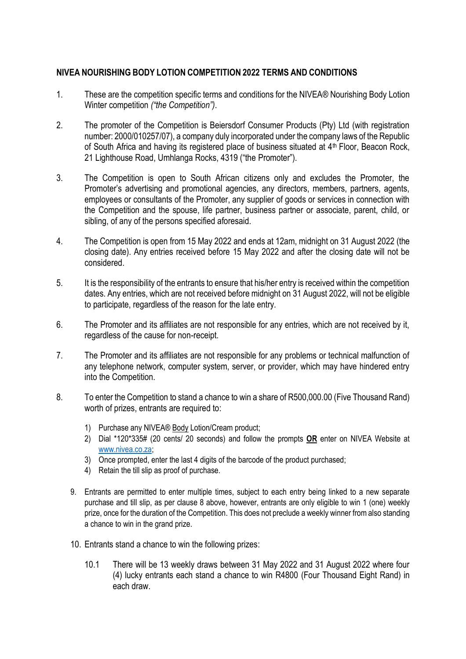## **NIVEA NOURISHING BODY LOTION COMPETITION 2022 TERMS AND CONDITIONS**

- 1. These are the competition specific terms and conditions for the NIVEA® Nourishing Body Lotion Winter competition *("the Competition")*.
- 2. The promoter of the Competition is Beiersdorf Consumer Products (Pty) Ltd (with registration number: 2000/010257/07), a company duly incorporated under the company laws of the Republic of South Africa and having its registered place of business situated at 4<sup>th</sup> Floor, Beacon Rock, 21 Lighthouse Road, Umhlanga Rocks, 4319 ("the Promoter").
- 3. The Competition is open to South African citizens only and excludes the Promoter, the Promoter's advertising and promotional agencies, any directors, members, partners, agents, employees or consultants of the Promoter, any supplier of goods or services in connection with the Competition and the spouse, life partner, business partner or associate, parent, child, or sibling, of any of the persons specified aforesaid.
- 4. The Competition is open from 15 May 2022 and ends at 12am, midnight on 31 August 2022 (the closing date). Any entries received before 15 May 2022 and after the closing date will not be considered.
- 5. It is the responsibility of the entrants to ensure that his/her entry is received within the competition dates. Any entries, which are not received before midnight on 31 August 2022, will not be eligible to participate, regardless of the reason for the late entry.
- 6. The Promoter and its affiliates are not responsible for any entries, which are not received by it, regardless of the cause for non-receipt.
- 7. The Promoter and its affiliates are not responsible for any problems or technical malfunction of any telephone network, computer system, server, or provider, which may have hindered entry into the Competition.
- 8. To enter the Competition to stand a chance to win a share of R500,000.00 (Five Thousand Rand) worth of prizes, entrants are required to:
	- 1) Purchase any NIVEA® Body Lotion/Cream product;
	- 2) Dial \*120\*335# (20 cents/ 20 seconds) and follow the prompts **OR** enter on NIVEA Website at [www.nivea.co.za;](http://www.nivea.co.za/)
	- 3) Once prompted, enter the last 4 digits of the barcode of the product purchased;
	- 4) Retain the till slip as proof of purchase.
	- 9. Entrants are permitted to enter multiple times, subject to each entry being linked to a new separate purchase and till slip, as per clause 8 above, however, entrants are only eligible to win 1 (one) weekly prize, once for the duration of the Competition. This does not preclude a weekly winner from also standing a chance to win in the grand prize.
	- 10. Entrants stand a chance to win the following prizes:
		- 10.1 There will be 13 weekly draws between 31 May 2022 and 31 August 2022 where four (4) lucky entrants each stand a chance to win R4800 (Four Thousand Eight Rand) in each draw.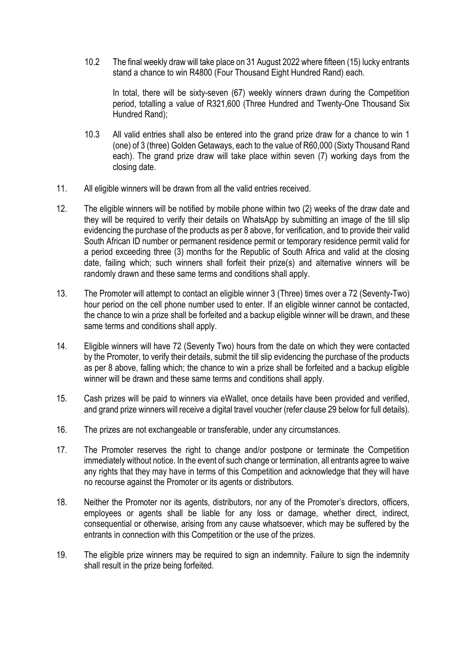10.2 The final weekly draw will take place on 31 August 2022 where fifteen (15) lucky entrants stand a chance to win R4800 (Four Thousand Eight Hundred Rand) each.

In total, there will be sixty-seven (67) weekly winners drawn during the Competition period, totalling a value of R321,600 (Three Hundred and Twenty-One Thousand Six Hundred Rand);

- 10.3 All valid entries shall also be entered into the grand prize draw for a chance to win 1 (one) of 3 (three) Golden Getaways, each to the value of R60,000 (Sixty Thousand Rand each). The grand prize draw will take place within seven (7) working days from the closing date.
- 11. All eligible winners will be drawn from all the valid entries received.
- 12. The eligible winners will be notified by mobile phone within two (2) weeks of the draw date and they will be required to verify their details on WhatsApp by submitting an image of the till slip evidencing the purchase of the products as per 8 above, for verification, and to provide their valid South African ID number or permanent residence permit or temporary residence permit valid for a period exceeding three (3) months for the Republic of South Africa and valid at the closing date, failing which; such winners shall forfeit their prize(s) and alternative winners will be randomly drawn and these same terms and conditions shall apply.
- 13. The Promoter will attempt to contact an eligible winner 3 (Three) times over a 72 (Seventy-Two) hour period on the cell phone number used to enter. If an eligible winner cannot be contacted, the chance to win a prize shall be forfeited and a backup eligible winner will be drawn, and these same terms and conditions shall apply.
- 14. Eligible winners will have 72 (Seventy Two) hours from the date on which they were contacted by the Promoter, to verify their details, submit the till slip evidencing the purchase of the products as per 8 above, falling which; the chance to win a prize shall be forfeited and a backup eligible winner will be drawn and these same terms and conditions shall apply.
- 15. Cash prizes will be paid to winners via eWallet, once details have been provided and verified, and grand prize winners will receive a digital travel voucher (refer clause 29 below for full details).
- 16. The prizes are not exchangeable or transferable, under any circumstances.
- 17. The Promoter reserves the right to change and/or postpone or terminate the Competition immediately without notice. In the event of such change or termination, all entrants agree to waive any rights that they may have in terms of this Competition and acknowledge that they will have no recourse against the Promoter or its agents or distributors.
- 18. Neither the Promoter nor its agents, distributors, nor any of the Promoter's directors, officers, employees or agents shall be liable for any loss or damage, whether direct, indirect, consequential or otherwise, arising from any cause whatsoever, which may be suffered by the entrants in connection with this Competition or the use of the prizes.
- 19. The eligible prize winners may be required to sign an indemnity. Failure to sign the indemnity shall result in the prize being forfeited.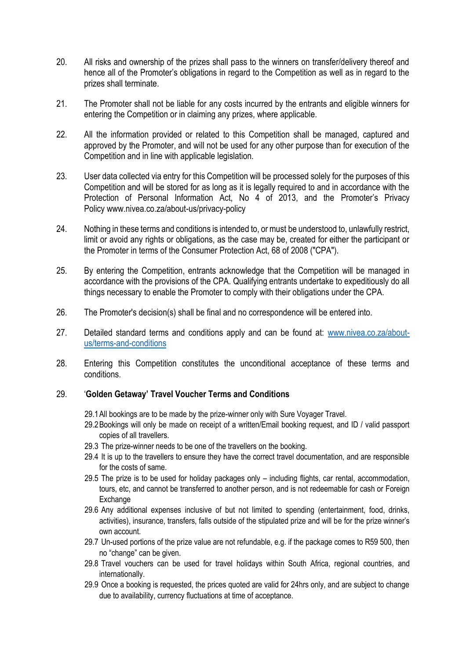- 20. All risks and ownership of the prizes shall pass to the winners on transfer/delivery thereof and hence all of the Promoter's obligations in regard to the Competition as well as in regard to the prizes shall terminate.
- 21. The Promoter shall not be liable for any costs incurred by the entrants and eligible winners for entering the Competition or in claiming any prizes, where applicable.
- 22. All the information provided or related to this Competition shall be managed, captured and approved by the Promoter, and will not be used for any other purpose than for execution of the Competition and in line with applicable legislation.
- 23. User data collected via entry for this Competition will be processed solely for the purposes of this Competition and will be stored for as long as it is legally required to and in accordance with the Protection of Personal Information Act, No 4 of 2013, and the Promoter's Privacy Policy www.nivea.co.za/about-us/privacy-policy
- 24. Nothing in these terms and conditions is intended to, or must be understood to, unlawfully restrict, limit or avoid any rights or obligations, as the case may be, created for either the participant or the Promoter in terms of the Consumer Protection Act, 68 of 2008 ("CPA").
- 25. By entering the Competition, entrants acknowledge that the Competition will be managed in accordance with the provisions of the CPA. Qualifying entrants undertake to expeditiously do all things necessary to enable the Promoter to comply with their obligations under the CPA.
- 26. The Promoter's decision(s) shall be final and no correspondence will be entered into.
- 27. Detailed standard terms and conditions apply and can be found at: [www.nivea.co.za/about](http://www.nivea.co.za/about-us/terms-and-conditions)[us/terms-and-conditions](http://www.nivea.co.za/about-us/terms-and-conditions)
- 28. Entering this Competition constitutes the unconditional acceptance of these terms and conditions.

## 29. '**Golden Getaway' Travel Voucher Terms and Conditions**

- 29.1All bookings are to be made by the prize-winner only with Sure Voyager Travel.
- 29.2Bookings will only be made on receipt of a written/Email booking request, and ID / valid passport copies of all travellers.
- 29.3 The prize-winner needs to be one of the travellers on the booking.
- 29.4 It is up to the travellers to ensure they have the correct travel documentation, and are responsible for the costs of same.
- 29.5 The prize is to be used for holiday packages only including flights, car rental, accommodation, tours, etc, and cannot be transferred to another person, and is not redeemable for cash or Foreign Exchange
- 29.6 Any additional expenses inclusive of but not limited to spending (entertainment, food, drinks, activities), insurance, transfers, falls outside of the stipulated prize and will be for the prize winner's own account.
- 29.7 Un-used portions of the prize value are not refundable, e.g. if the package comes to R59 500, then no "change" can be given.
- 29.8 Travel vouchers can be used for travel holidays within South Africa, regional countries, and internationally.
- 29.9 Once a booking is requested, the prices quoted are valid for 24hrs only, and are subject to change due to availability, currency fluctuations at time of acceptance.